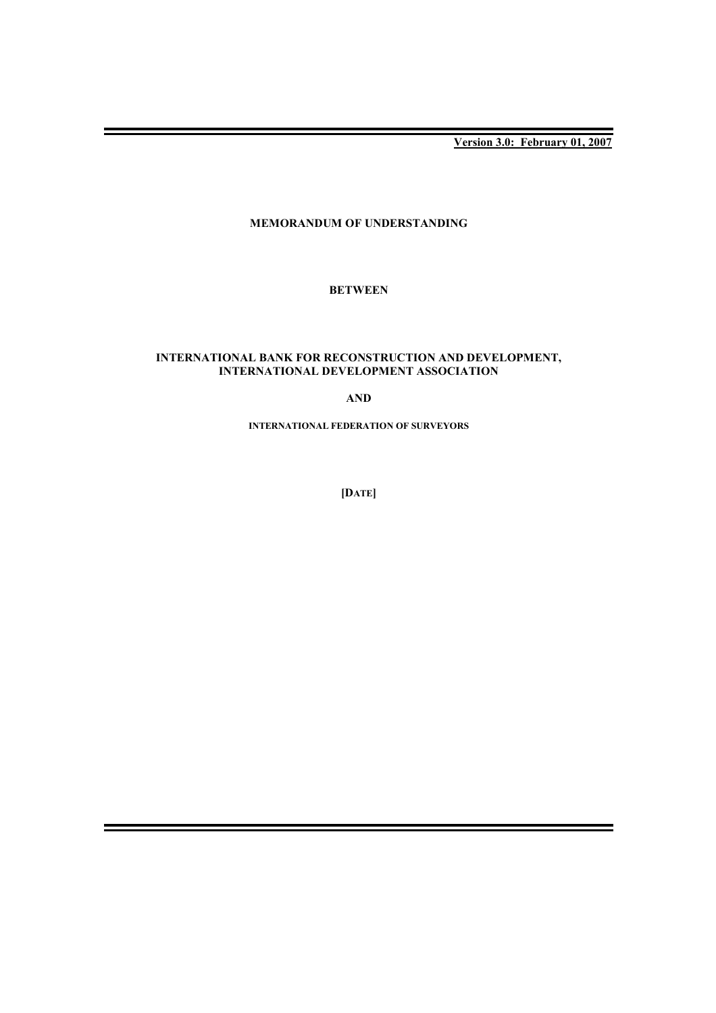**Version 3.0: February 01, 2007**

# **MEMORANDUM OF UNDERSTANDING**

# **BETWEEN**

# **INTERNATIONAL BANK FOR RECONSTRUCTION AND DEVELOPMENT, INTERNATIONAL DEVELOPMENT ASSOCIATION**

## **AND**

**INTERNATIONAL FEDERATION OF SURVEYORS**

**[DATE]**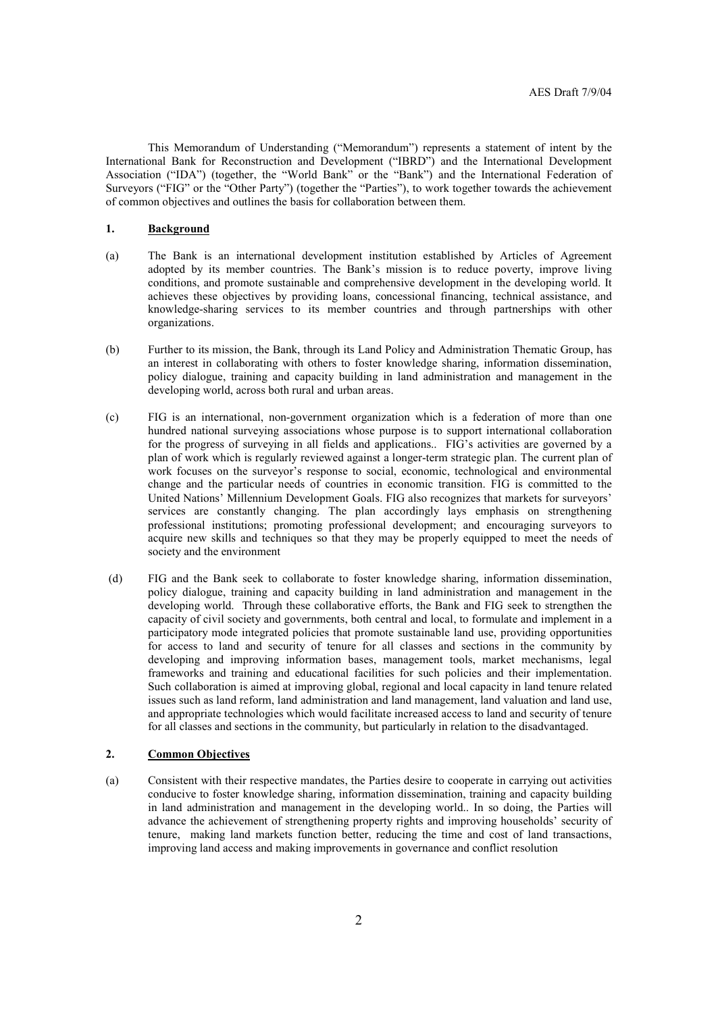This Memorandum of Understanding ("Memorandum") represents a statement of intent by the International Bank for Reconstruction and Development ("IBRD") and the International Development Association ("IDA") (together, the "World Bank" or the "Bank") and the International Federation of Surveyors ("FIG" or the "Other Party") (together the "Parties"), to work together towards the achievement of common objectives and outlines the basis for collaboration between them.

## **1. Background**

- (a) The Bank is an international development institution established by Articles of Agreement adopted by its member countries. The Bank's mission is to reduce poverty, improve living conditions, and promote sustainable and comprehensive development in the developing world. It achieves these objectives by providing loans, concessional financing, technical assistance, and knowledge-sharing services to its member countries and through partnerships with other organizations.
- (b) Further to its mission, the Bank, through its Land Policy and Administration Thematic Group, has an interest in collaborating with others to foster knowledge sharing, information dissemination, policy dialogue, training and capacity building in land administration and management in the developing world, across both rural and urban areas.
- (c) FIG is an international, non-government organization which is a federation of more than one hundred national surveying associations whose purpose is to support international collaboration for the progress of surveying in all fields and applications.. FIG's activities are governed by a plan of work which is regularly reviewed against a longer-term strategic plan. The current plan of work focuses on the surveyor's response to social, economic, technological and environmental change and the particular needs of countries in economic transition. FIG is committed to the United Nations' Millennium Development Goals. FIG also recognizes that markets for surveyors' services are constantly changing. The plan accordingly lays emphasis on strengthening professional institutions; promoting professional development; and encouraging surveyors to acquire new skills and techniques so that they may be properly equipped to meet the needs of society and the environment
- (d) FIG and the Bank seek to collaborate to foster knowledge sharing, information dissemination, policy dialogue, training and capacity building in land administration and management in the developing world. Through these collaborative efforts, the Bank and FIG seek to strengthen the capacity of civil society and governments, both central and local, to formulate and implement in a participatory mode integrated policies that promote sustainable land use, providing opportunities for access to land and security of tenure for all classes and sections in the community by developing and improving information bases, management tools, market mechanisms, legal frameworks and training and educational facilities for such policies and their implementation. Such collaboration is aimed at improving global, regional and local capacity in land tenure related issues such as land reform, land administration and land management, land valuation and land use, and appropriate technologies which would facilitate increased access to land and security of tenure for all classes and sections in the community, but particularly in relation to the disadvantaged.

#### **2. Common Objectives**

(a) Consistent with their respective mandates, the Parties desire to cooperate in carrying out activities conducive to foster knowledge sharing, information dissemination, training and capacity building in land administration and management in the developing world.. In so doing, the Parties will advance the achievement of strengthening property rights and improving households' security of tenure, making land markets function better, reducing the time and cost of land transactions, improving land access and making improvements in governance and conflict resolution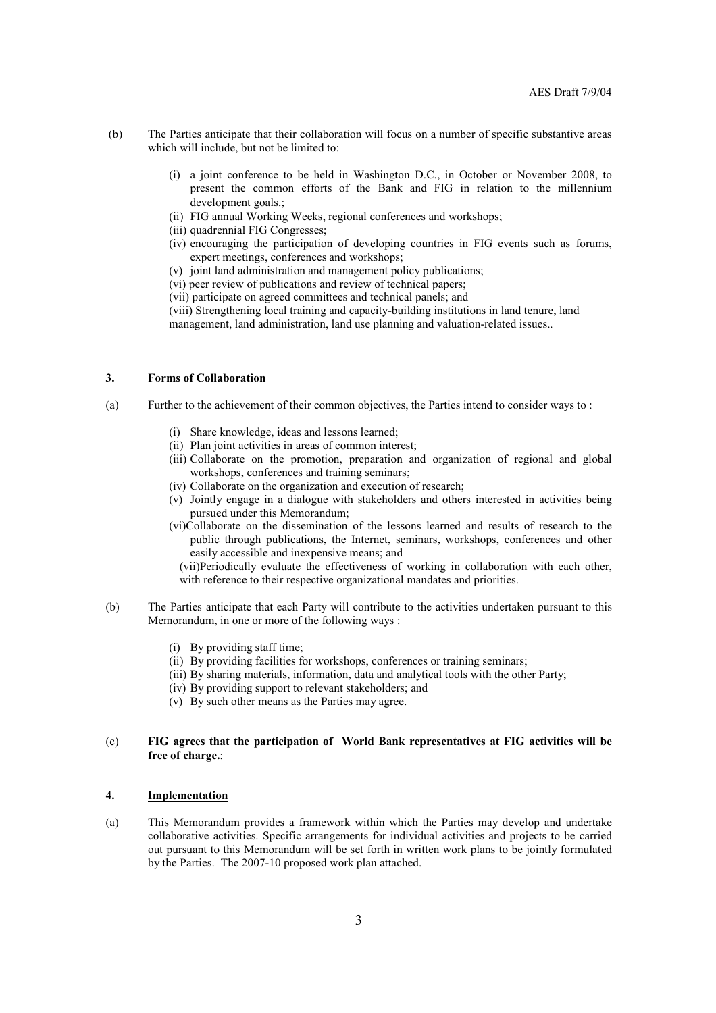- (b) The Parties anticipate that their collaboration will focus on a number of specific substantive areas which will include, but not be limited to:
	- (i) a joint conference to be held in Washington D.C., in October or November 2008, to present the common efforts of the Bank and FIG in relation to the millennium development goals.;
	- (ii) FIG annual Working Weeks, regional conferences and workshops;
	- (iii) quadrennial FIG Congresses;
	- (iv) encouraging the participation of developing countries in FIG events such as forums, expert meetings, conferences and workshops;
	- (v) joint land administration and management policy publications;
	- (vi) peer review of publications and review of technical papers;
	- (vii) participate on agreed committees and technical panels; and

(viii) Strengthening local training and capacity-building institutions in land tenure, land management, land administration, land use planning and valuation-related issues..

#### **3. Forms of Collaboration**

- (a) Further to the achievement of their common objectives, the Parties intend to consider ways to :
	- (i) Share knowledge, ideas and lessons learned;
	- (ii) Plan joint activities in areas of common interest;
	- (iii) Collaborate on the promotion, preparation and organization of regional and global workshops, conferences and training seminars;
	- (iv) Collaborate on the organization and execution of research;
	- (v) Jointly engage in a dialogue with stakeholders and others interested in activities being pursued under this Memorandum;
	- (vi)Collaborate on the dissemination of the lessons learned and results of research to the public through publications, the Internet, seminars, workshops, conferences and other easily accessible and inexpensive means; and

(vii)Periodically evaluate the effectiveness of working in collaboration with each other, with reference to their respective organizational mandates and priorities.

- (b) The Parties anticipate that each Party will contribute to the activities undertaken pursuant to this Memorandum, in one or more of the following ways :
	- (i) By providing staff time;
	- (ii) By providing facilities for workshops, conferences or training seminars;
	- (iii) By sharing materials, information, data and analytical tools with the other Party;
	- (iv) By providing support to relevant stakeholders; and
	- (v) By such other means as the Parties may agree.

## (c) **FIG agrees that the participation of World Bank representatives at FIG activities will be free of charge.**:

# **4. Implementation**

(a) This Memorandum provides a framework within which the Parties may develop and undertake collaborative activities. Specific arrangements for individual activities and projects to be carried out pursuant to this Memorandum will be set forth in written work plans to be jointly formulated by the Parties. The 2007-10 proposed work plan attached.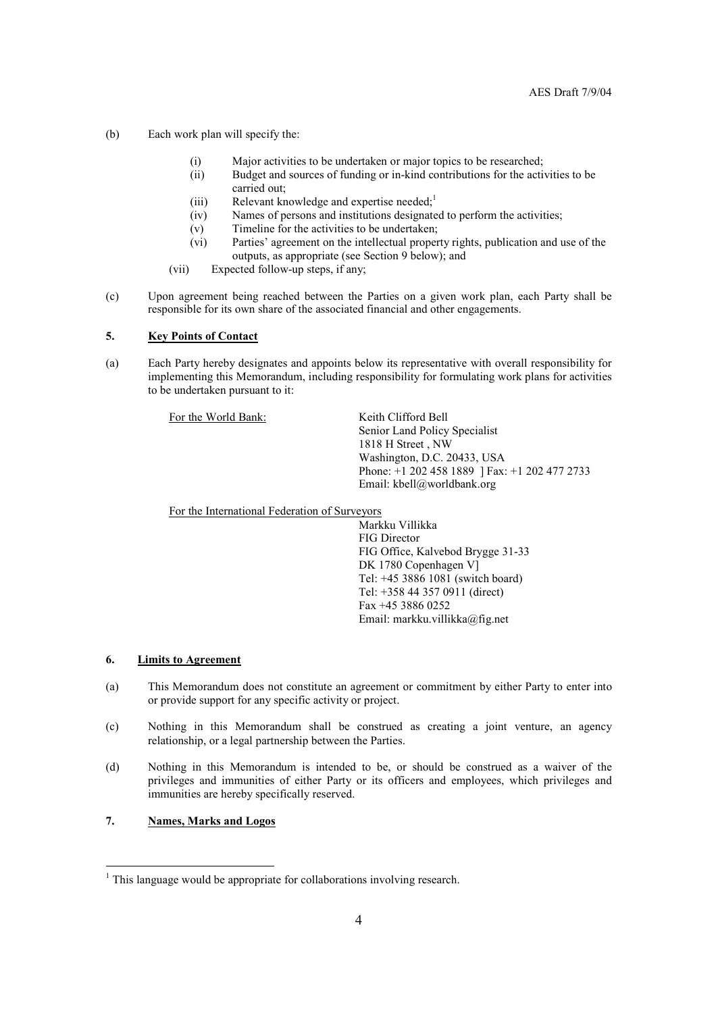- (b) Each work plan will specify the:
	- (i) Major activities to be undertaken or major topics to be researched;
	- (ii) Budget and sources of funding or in-kind contributions for the activities to be carried out;
	- (iii) Relevant knowledge and expertise needed;<sup>1</sup>
	- (iv) Names of persons and institutions designated to perform the activities;
	- (v) Timeline for the activities to be undertaken;
	- (vi) Parties' agreement on the intellectual property rights, publication and use of the outputs, as appropriate (see Section 9 below); and
	- (vii) Expected follow-up steps, if any;
- (c) Upon agreement being reached between the Parties on a given work plan, each Party shall be responsible for its own share of the associated financial and other engagements.

# **5. Key Points of Contact**

(a) Each Party hereby designates and appoints below its representative with overall responsibility for implementing this Memorandum, including responsibility for formulating work plans for activities to be undertaken pursuant to it:

For the World Bank: Keith Clifford Bell

 Senior Land Policy Specialist 1818 H Street , NW Washington, D.C. 20433, USA Phone: +1 202 458 1889 ] Fax: +1 202 477 2733 Email: kbell@worldbank.org

For the International Federation of Surveyors

 Markku Villikka FIG Director FIG Office, Kalvebod Brygge 31-33 DK 1780 Copenhagen V] Tel: +45 3886 1081 (switch board) Tel: +358 44 357 0911 (direct) Fax +45 3886 0252 Email: markku.villikka@fig.net

#### **6. Limits to Agreement**

- (a) This Memorandum does not constitute an agreement or commitment by either Party to enter into or provide support for any specific activity or project.
- (c) Nothing in this Memorandum shall be construed as creating a joint venture, an agency relationship, or a legal partnership between the Parties.
- (d) Nothing in this Memorandum is intended to be, or should be construed as a waiver of the privileges and immunities of either Party or its officers and employees, which privileges and immunities are hereby specifically reserved.

# **7. Names, Marks and Logos**

1

<sup>&</sup>lt;sup>1</sup> This language would be appropriate for collaborations involving research.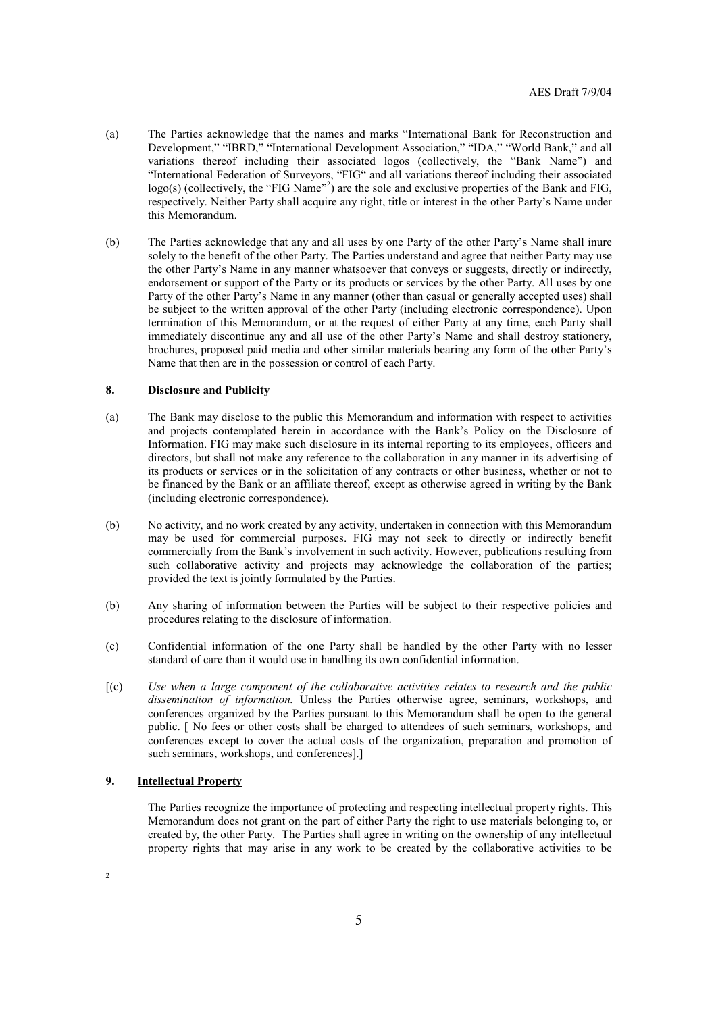- (a) The Parties acknowledge that the names and marks "International Bank for Reconstruction and Development," "IBRD," "International Development Association," "IDA," "World Bank," and all variations thereof including their associated logos (collectively, the "Bank Name") and "International Federation of Surveyors, "FIG" and all variations thereof including their associated logo(s) (collectively, the "FIG Name"<sup>2</sup>) are the sole and exclusive properties of the Bank and FIG, respectively. Neither Party shall acquire any right, title or interest in the other Party's Name under this Memorandum.
- (b) The Parties acknowledge that any and all uses by one Party of the other Party's Name shall inure solely to the benefit of the other Party. The Parties understand and agree that neither Party may use the other Party's Name in any manner whatsoever that conveys or suggests, directly or indirectly, endorsement or support of the Party or its products or services by the other Party. All uses by one Party of the other Party's Name in any manner (other than casual or generally accepted uses) shall be subject to the written approval of the other Party (including electronic correspondence). Upon termination of this Memorandum, or at the request of either Party at any time, each Party shall immediately discontinue any and all use of the other Party's Name and shall destroy stationery, brochures, proposed paid media and other similar materials bearing any form of the other Party's Name that then are in the possession or control of each Party.

# **8. Disclosure and Publicity**

- (a) The Bank may disclose to the public this Memorandum and information with respect to activities and projects contemplated herein in accordance with the Bank's Policy on the Disclosure of Information. FIG may make such disclosure in its internal reporting to its employees, officers and directors, but shall not make any reference to the collaboration in any manner in its advertising of its products or services or in the solicitation of any contracts or other business, whether or not to be financed by the Bank or an affiliate thereof, except as otherwise agreed in writing by the Bank (including electronic correspondence).
- (b) No activity, and no work created by any activity, undertaken in connection with this Memorandum may be used for commercial purposes. FIG may not seek to directly or indirectly benefit commercially from the Bank's involvement in such activity. However, publications resulting from such collaborative activity and projects may acknowledge the collaboration of the parties; provided the text is jointly formulated by the Parties.
- (b) Any sharing of information between the Parties will be subject to their respective policies and procedures relating to the disclosure of information.
- (c) Confidential information of the one Party shall be handled by the other Party with no lesser standard of care than it would use in handling its own confidential information.
- [(c) *Use when a large component of the collaborative activities relates to research and the public dissemination of information.* Unless the Parties otherwise agree, seminars, workshops, and conferences organized by the Parties pursuant to this Memorandum shall be open to the general public. [ No fees or other costs shall be charged to attendees of such seminars, workshops, and conferences except to cover the actual costs of the organization, preparation and promotion of such seminars, workshops, and conferences].]

## **9. Intellectual Property**

The Parties recognize the importance of protecting and respecting intellectual property rights. This Memorandum does not grant on the part of either Party the right to use materials belonging to, or created by, the other Party. The Parties shall agree in writing on the ownership of any intellectual property rights that may arise in any work to be created by the collaborative activities to be

 $\frac{1}{2}$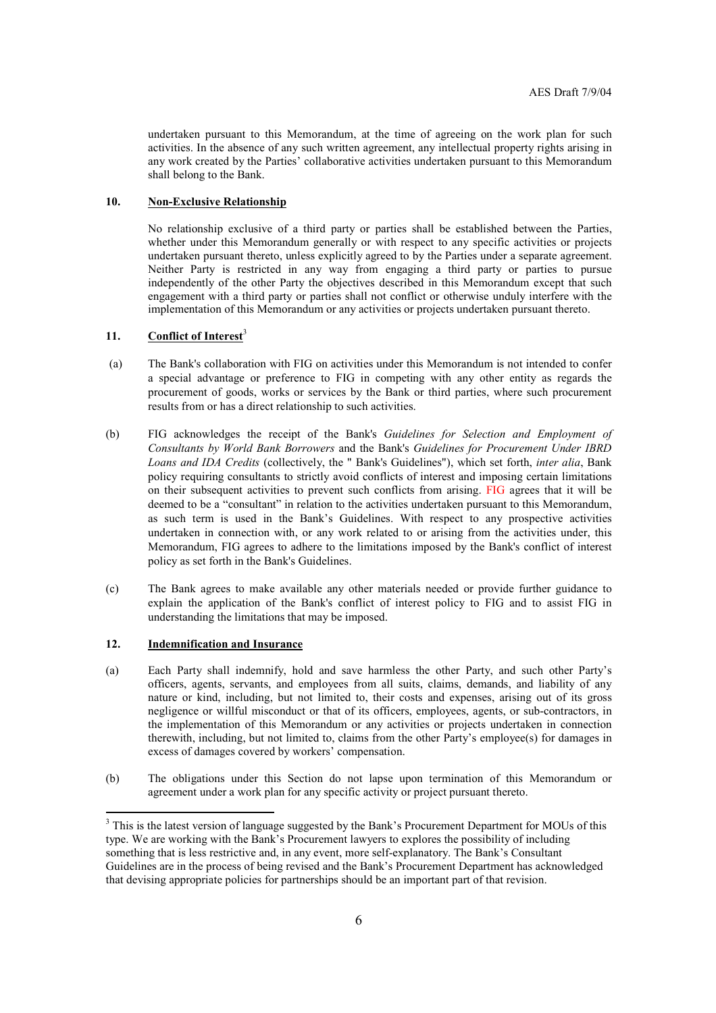undertaken pursuant to this Memorandum, at the time of agreeing on the work plan for such activities. In the absence of any such written agreement, any intellectual property rights arising in any work created by the Parties' collaborative activities undertaken pursuant to this Memorandum shall belong to the Bank.

## **10. Non-Exclusive Relationship**

No relationship exclusive of a third party or parties shall be established between the Parties, whether under this Memorandum generally or with respect to any specific activities or projects undertaken pursuant thereto, unless explicitly agreed to by the Parties under a separate agreement. Neither Party is restricted in any way from engaging a third party or parties to pursue independently of the other Party the objectives described in this Memorandum except that such engagement with a third party or parties shall not conflict or otherwise unduly interfere with the implementation of this Memorandum or any activities or projects undertaken pursuant thereto.

# 11. Conflict of Interest<sup>3</sup>

- (a) The Bank's collaboration with FIG on activities under this Memorandum is not intended to confer a special advantage or preference to FIG in competing with any other entity as regards the procurement of goods, works or services by the Bank or third parties, where such procurement results from or has a direct relationship to such activities.
- (b) FIG acknowledges the receipt of the Bank's *Guidelines for Selection and Employment of Consultants by World Bank Borrowers* and the Bank's *Guidelines for Procurement Under IBRD Loans and IDA Credits* (collectively, the " Bank's Guidelines"), which set forth, *inter alia*, Bank policy requiring consultants to strictly avoid conflicts of interest and imposing certain limitations on their subsequent activities to prevent such conflicts from arising. FIG agrees that it will be deemed to be a "consultant" in relation to the activities undertaken pursuant to this Memorandum, as such term is used in the Bank's Guidelines. With respect to any prospective activities undertaken in connection with, or any work related to or arising from the activities under, this Memorandum, FIG agrees to adhere to the limitations imposed by the Bank's conflict of interest policy as set forth in the Bank's Guidelines.
- (c) The Bank agrees to make available any other materials needed or provide further guidance to explain the application of the Bank's conflict of interest policy to FIG and to assist FIG in understanding the limitations that may be imposed.

## **12. Indemnification and Insurance**

-

- (a) Each Party shall indemnify, hold and save harmless the other Party, and such other Party's officers, agents, servants, and employees from all suits, claims, demands, and liability of any nature or kind, including, but not limited to, their costs and expenses, arising out of its gross negligence or willful misconduct or that of its officers, employees, agents, or sub-contractors, in the implementation of this Memorandum or any activities or projects undertaken in connection therewith, including, but not limited to, claims from the other Party's employee(s) for damages in excess of damages covered by workers' compensation.
- (b) The obligations under this Section do not lapse upon termination of this Memorandum or agreement under a work plan for any specific activity or project pursuant thereto.

 $3$  This is the latest version of language suggested by the Bank's Procurement Department for MOUs of this type. We are working with the Bank's Procurement lawyers to explores the possibility of including something that is less restrictive and, in any event, more self-explanatory. The Bank's Consultant Guidelines are in the process of being revised and the Bank's Procurement Department has acknowledged that devising appropriate policies for partnerships should be an important part of that revision.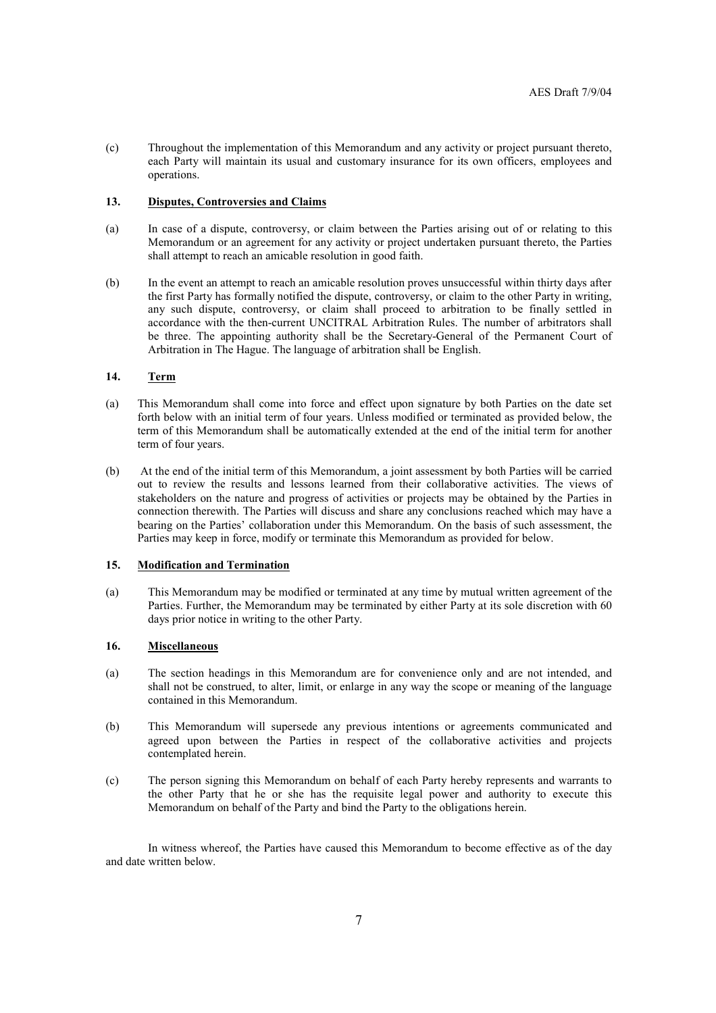(c) Throughout the implementation of this Memorandum and any activity or project pursuant thereto, each Party will maintain its usual and customary insurance for its own officers, employees and operations.

#### **13. Disputes, Controversies and Claims**

- (a) In case of a dispute, controversy, or claim between the Parties arising out of or relating to this Memorandum or an agreement for any activity or project undertaken pursuant thereto, the Parties shall attempt to reach an amicable resolution in good faith.
- (b) In the event an attempt to reach an amicable resolution proves unsuccessful within thirty days after the first Party has formally notified the dispute, controversy, or claim to the other Party in writing, any such dispute, controversy, or claim shall proceed to arbitration to be finally settled in accordance with the then-current UNCITRAL Arbitration Rules. The number of arbitrators shall be three. The appointing authority shall be the Secretary-General of the Permanent Court of Arbitration in The Hague. The language of arbitration shall be English.

# **14. Term**

- (a) This Memorandum shall come into force and effect upon signature by both Parties on the date set forth below with an initial term of four years. Unless modified or terminated as provided below, the term of this Memorandum shall be automatically extended at the end of the initial term for another term of four years.
- (b) At the end of the initial term of this Memorandum, a joint assessment by both Parties will be carried out to review the results and lessons learned from their collaborative activities. The views of stakeholders on the nature and progress of activities or projects may be obtained by the Parties in connection therewith. The Parties will discuss and share any conclusions reached which may have a bearing on the Parties' collaboration under this Memorandum. On the basis of such assessment, the Parties may keep in force, modify or terminate this Memorandum as provided for below.

## **15. Modification and Termination**

(a) This Memorandum may be modified or terminated at any time by mutual written agreement of the Parties. Further, the Memorandum may be terminated by either Party at its sole discretion with 60 days prior notice in writing to the other Party.

#### **16. Miscellaneous**

- (a) The section headings in this Memorandum are for convenience only and are not intended, and shall not be construed, to alter, limit, or enlarge in any way the scope or meaning of the language contained in this Memorandum.
- (b) This Memorandum will supersede any previous intentions or agreements communicated and agreed upon between the Parties in respect of the collaborative activities and projects contemplated herein.
- (c) The person signing this Memorandum on behalf of each Party hereby represents and warrants to the other Party that he or she has the requisite legal power and authority to execute this Memorandum on behalf of the Party and bind the Party to the obligations herein.

In witness whereof, the Parties have caused this Memorandum to become effective as of the day and date written below.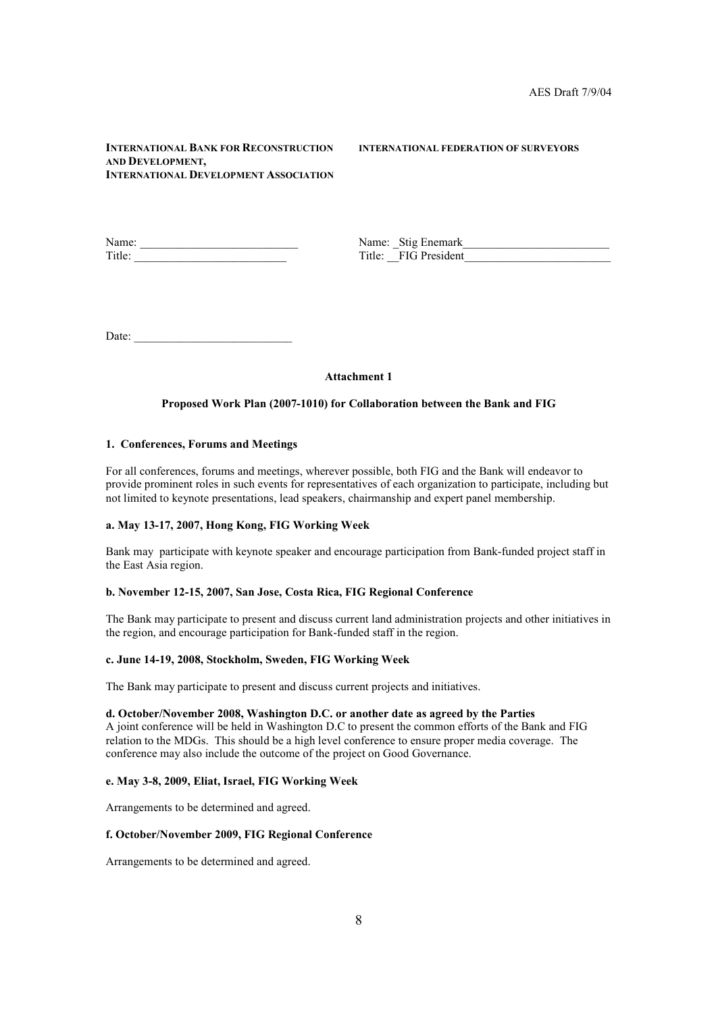## **INTERNATIONAL BANK FOR RECONSTRUCTION INTERNATIONAL FEDERATION OF SURVEYORS AND DEVELOPMENT, INTERNATIONAL DEVELOPMENT ASSOCIATION**

Name: \_\_\_\_\_\_\_\_\_\_\_\_\_\_\_\_\_\_\_\_\_\_\_\_\_\_\_ Name: \_Stig Enemark\_\_\_\_\_\_\_\_\_\_\_\_\_\_\_\_\_\_\_\_\_\_\_\_\_

Title: \_\_FIG President

Date:

## **Attachment 1**

## **Proposed Work Plan (2007-1010) for Collaboration between the Bank and FIG**

#### **1. Conferences, Forums and Meetings**

For all conferences, forums and meetings, wherever possible, both FIG and the Bank will endeavor to provide prominent roles in such events for representatives of each organization to participate, including but not limited to keynote presentations, lead speakers, chairmanship and expert panel membership.

## **a. May 13-17, 2007, Hong Kong, FIG Working Week**

Bank may participate with keynote speaker and encourage participation from Bank-funded project staff in the East Asia region.

## **b. November 12-15, 2007, San Jose, Costa Rica, FIG Regional Conference**

The Bank may participate to present and discuss current land administration projects and other initiatives in the region, and encourage participation for Bank-funded staff in the region.

#### **c. June 14-19, 2008, Stockholm, Sweden, FIG Working Week**

The Bank may participate to present and discuss current projects and initiatives.

## **d. October/November 2008, Washington D.C. or another date as agreed by the Parties**

A joint conference will be held in Washington D.C to present the common efforts of the Bank and FIG relation to the MDGs. This should be a high level conference to ensure proper media coverage. The conference may also include the outcome of the project on Good Governance.

#### **e. May 3-8, 2009, Eliat, Israel, FIG Working Week**

Arrangements to be determined and agreed.

#### **f. October/November 2009, FIG Regional Conference**

Arrangements to be determined and agreed.